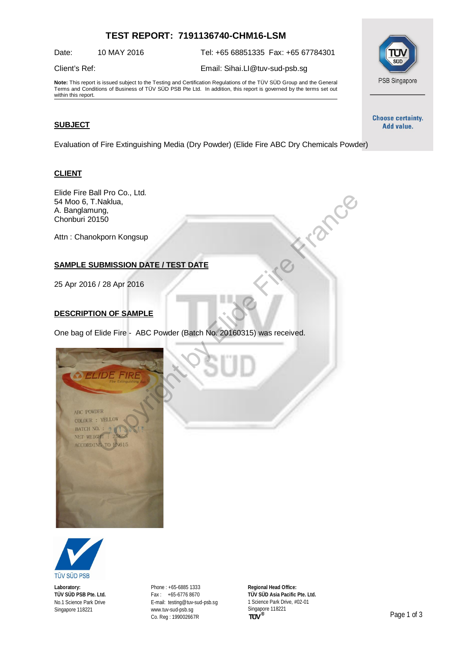# **TEST REPORT: 7191136740-CHM16-LSM**

Date: 10 MAY 2016 Tel: +65 68851335 Fax: +65 67784301

#### Client's Ref: Email: [Sihai.LI@tuv-sud-psb.sg](mailto:Sihai.LI@tuv-sud-psb.sg)

**Note:** This report is issued subject to the Testing and Certification Regulations of the TÜV SÜD Group and the General Terms and Conditions of Business of TÜV SÜD PSB Pte Ltd. In addition, this report is governed by the terms set out

### **SUBJECT**

within this report.

Evaluation of Fire Extinguishing Media (Dry Powder) (Elide Fire ABC Dry Chemicals Powder)

#### **CLIENT**

Elide Fire Ball Pro Co., Ltd. 54 Moo 6, T.Naklua, A. Banglamung, Chonburi 20150

Attn : Chanokporn Kongsup

## **SAMPLE SUBMISSION DATE / TEST DATE**

25 Apr 2016 / 28 Apr 2016

#### **DESCRIPTION OF SAMPLE**

One bag of Elide Fire - ABC Powder (Batch No. 20160315) was received.





**Laboratory: TÜV SÜD PSB Pte. Ltd.** No.1 Science Park Drive Singapore 118221

Phone : +65-6885 1333 Fax : +65-6776 8670 E-mail: [testing@tuv-sud-psb.sg](mailto:testing@tuv-sud-psb.sg) [www.tuv-sud-psb.sg](http://www.tuv-sud-psb.sg/) Co. Reg : 199002667R

**Regional Head Office: TÜV SÜD Asia Pacific Pte. Ltd.** 1 Science Park Drive, #02-01 Singapore 118221<br>TUV<sup>®</sup>



**Choose certainty.** Add value.

SEID

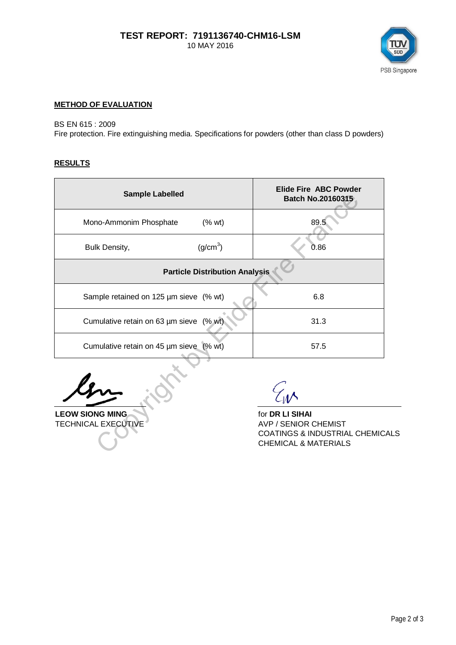

### **METHOD OF EVALUATION**

### BS EN 615 : 2009

Fire protection. Fire extinguishing media. Specifications for powders (other than class D powders)

### **RESULTS**

| <b>Sample Labelled</b>                  |                      | <b>Elide Fire ABC Powder</b><br>Batch No.20160315 |
|-----------------------------------------|----------------------|---------------------------------------------------|
| Mono-Ammonim Phosphate                  | (% wt)               | 89.5                                              |
| <b>Bulk Density,</b>                    | (g/cm <sup>3</sup> ) | 0.86                                              |
| <b>Particle Distribution Analysis</b>   |                      |                                                   |
| Sample retained on 125 µm sieve (% wt)  |                      | 6.8                                               |
| Cumulative retain on 63 um sieve (% wt) |                      | 31.3                                              |
| Cumulative retain on 45 µm sieve (% wt) |                      | 57.5                                              |
|                                         |                      |                                                   |

**LEOW SIONG MING for DR LI SIHAI** TECHNICAL EXECUTIVE AVP / SENIOR CHEMIST NG MING<br>LEXECUTIVE

COATINGS & INDUSTRIAL CHEMICALS CHEMICAL & MATERIALS